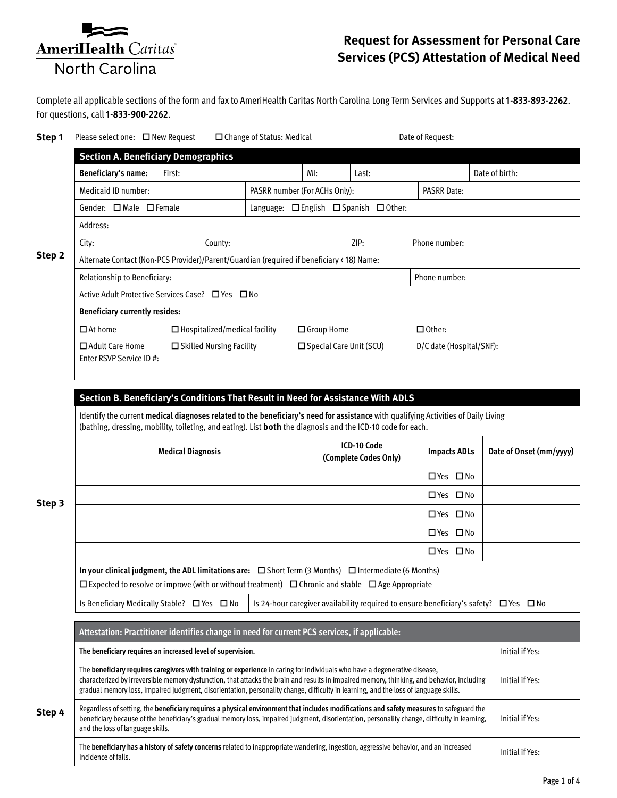

## **Request for Assessment for Personal Care Services (PCS) Attestation of Medical Need**

Complete all applicable sections of the form and fax to AmeriHealth Caritas North Carolina Long Term Services and Supports at **1-833-893-2262**. For questions, call **1-833-900-2262**.

| Step 1 | Please select one: □ New Request                                                                                                                                                                                                                                                                                                                                                                                 |                                                                                                                                                                                                                                                   |                                      | □ Change of Status: Medical            |                           |      |  | Date of Request:    |                          |                         |  |  |
|--------|------------------------------------------------------------------------------------------------------------------------------------------------------------------------------------------------------------------------------------------------------------------------------------------------------------------------------------------------------------------------------------------------------------------|---------------------------------------------------------------------------------------------------------------------------------------------------------------------------------------------------------------------------------------------------|--------------------------------------|----------------------------------------|---------------------------|------|--|---------------------|--------------------------|-------------------------|--|--|
|        | <b>Section A. Beneficiary Demographics</b>                                                                                                                                                                                                                                                                                                                                                                       |                                                                                                                                                                                                                                                   |                                      |                                        |                           |      |  |                     |                          |                         |  |  |
| Step 2 | Beneficiary's name:<br>First:                                                                                                                                                                                                                                                                                                                                                                                    |                                                                                                                                                                                                                                                   |                                      |                                        | $M!$ :<br>Last:           |      |  |                     |                          | Date of birth:          |  |  |
|        | Medicaid ID number:                                                                                                                                                                                                                                                                                                                                                                                              |                                                                                                                                                                                                                                                   |                                      | PASRR number (For ACHs Only):          |                           |      |  | <b>PASRR Date:</b>  |                          |                         |  |  |
|        | Gender: □ Male □ Female                                                                                                                                                                                                                                                                                                                                                                                          |                                                                                                                                                                                                                                                   |                                      | Language: □ English □ Spanish □ Other: |                           |      |  |                     |                          |                         |  |  |
|        | Address:                                                                                                                                                                                                                                                                                                                                                                                                         |                                                                                                                                                                                                                                                   |                                      |                                        |                           |      |  |                     |                          |                         |  |  |
|        | City:                                                                                                                                                                                                                                                                                                                                                                                                            |                                                                                                                                                                                                                                                   | County:                              |                                        |                           | ZIP: |  | Phone number:       |                          |                         |  |  |
|        | Alternate Contact (Non-PCS Provider)/Parent/Guardian (required if beneficiary < 18) Name:                                                                                                                                                                                                                                                                                                                        |                                                                                                                                                                                                                                                   |                                      |                                        |                           |      |  |                     |                          |                         |  |  |
|        | Relationship to Beneficiary:                                                                                                                                                                                                                                                                                                                                                                                     |                                                                                                                                                                                                                                                   |                                      |                                        |                           |      |  |                     |                          |                         |  |  |
|        | Active Adult Protective Services Case? □ Yes □ No                                                                                                                                                                                                                                                                                                                                                                |                                                                                                                                                                                                                                                   |                                      |                                        |                           |      |  |                     |                          |                         |  |  |
|        | <b>Beneficiary currently resides:</b>                                                                                                                                                                                                                                                                                                                                                                            |                                                                                                                                                                                                                                                   |                                      |                                        |                           |      |  |                     |                          |                         |  |  |
|        | $\Box$ At home                                                                                                                                                                                                                                                                                                                                                                                                   |                                                                                                                                                                                                                                                   | $\Box$ Hospitalized/medical facility |                                        | □ Group Home              |      |  | $\Box$ Other:       |                          |                         |  |  |
|        | $\Box$ Adult Care Home                                                                                                                                                                                                                                                                                                                                                                                           |                                                                                                                                                                                                                                                   | $\Box$ Skilled Nursing Facility      |                                        | □ Special Care Unit (SCU) |      |  |                     | D/C date (Hospital/SNF): |                         |  |  |
|        | Enter RSVP Service ID #:                                                                                                                                                                                                                                                                                                                                                                                         |                                                                                                                                                                                                                                                   |                                      |                                        |                           |      |  |                     |                          |                         |  |  |
|        |                                                                                                                                                                                                                                                                                                                                                                                                                  |                                                                                                                                                                                                                                                   |                                      |                                        |                           |      |  |                     |                          |                         |  |  |
|        | Section B. Beneficiary's Conditions That Result in Need for Assistance With ADLS                                                                                                                                                                                                                                                                                                                                 |                                                                                                                                                                                                                                                   |                                      |                                        |                           |      |  |                     |                          |                         |  |  |
|        |                                                                                                                                                                                                                                                                                                                                                                                                                  | Identify the current medical diagnoses related to the beneficiary's need for assistance with qualifying Activities of Daily Living<br>(bathing, dressing, mobility, toileting, and eating). List both the diagnosis and the ICD-10 code for each. |                                      |                                        |                           |      |  |                     |                          |                         |  |  |
|        |                                                                                                                                                                                                                                                                                                                                                                                                                  |                                                                                                                                                                                                                                                   |                                      | ICD-10 Code                            |                           |      |  |                     |                          |                         |  |  |
|        | <b>Medical Diagnosis</b>                                                                                                                                                                                                                                                                                                                                                                                         |                                                                                                                                                                                                                                                   |                                      |                                        | (Complete Codes Only)     |      |  | <b>Impacts ADLs</b> |                          | Date of Onset (mm/yyyy) |  |  |
|        |                                                                                                                                                                                                                                                                                                                                                                                                                  |                                                                                                                                                                                                                                                   |                                      |                                        |                           |      |  | □ Yes □ No          |                          |                         |  |  |
|        |                                                                                                                                                                                                                                                                                                                                                                                                                  |                                                                                                                                                                                                                                                   |                                      |                                        |                           |      |  | □ Yes □ No          |                          |                         |  |  |
| Step 3 |                                                                                                                                                                                                                                                                                                                                                                                                                  |                                                                                                                                                                                                                                                   |                                      |                                        |                           |      |  | □ Yes □ No          |                          |                         |  |  |
|        |                                                                                                                                                                                                                                                                                                                                                                                                                  |                                                                                                                                                                                                                                                   |                                      |                                        |                           |      |  | □ Yes □ No          |                          |                         |  |  |
|        |                                                                                                                                                                                                                                                                                                                                                                                                                  |                                                                                                                                                                                                                                                   |                                      |                                        |                           |      |  | □ Yes □ No          |                          |                         |  |  |
|        |                                                                                                                                                                                                                                                                                                                                                                                                                  |                                                                                                                                                                                                                                                   |                                      |                                        |                           |      |  |                     |                          |                         |  |  |
|        | In your clinical judgment, the ADL limitations are: $\square$ Short Term (3 Months) $\square$ Intermediate (6 Months)<br>$\Box$ Expected to resolve or improve (with or without treatment) $\Box$ Chronic and stable $\Box$ Age Appropriate                                                                                                                                                                      |                                                                                                                                                                                                                                                   |                                      |                                        |                           |      |  |                     |                          |                         |  |  |
|        | Is Beneficiary Medically Stable? □ Yes □ No<br>Is 24-hour caregiver availability required to ensure beneficiary's safety? $\Box$ Yes $\Box$ No                                                                                                                                                                                                                                                                   |                                                                                                                                                                                                                                                   |                                      |                                        |                           |      |  |                     |                          |                         |  |  |
|        |                                                                                                                                                                                                                                                                                                                                                                                                                  |                                                                                                                                                                                                                                                   |                                      |                                        |                           |      |  |                     |                          |                         |  |  |
|        | Attestation: Practitioner identifies change in need for current PCS services, if applicable:                                                                                                                                                                                                                                                                                                                     |                                                                                                                                                                                                                                                   |                                      |                                        |                           |      |  |                     |                          |                         |  |  |
|        | The beneficiary requires an increased level of supervision.                                                                                                                                                                                                                                                                                                                                                      |                                                                                                                                                                                                                                                   |                                      |                                        |                           |      |  |                     |                          | Initial if Yes:         |  |  |
| Step 4 | The beneficiary requires caregivers with training or experience in caring for individuals who have a degenerative disease,<br>characterized by irreversible memory dysfunction, that attacks the brain and results in impaired memory, thinking, and behavior, including<br>gradual memory loss, impaired judgment, disorientation, personality change, difficulty in learning, and the loss of language skills. |                                                                                                                                                                                                                                                   | Initial if Yes:                      |                                        |                           |      |  |                     |                          |                         |  |  |
|        | Regardless of setting, the beneficiary requires a physical environment that includes modifications and safety measures to safeguard the<br>beneficiary because of the beneficiary's gradual memory loss, impaired judgment, disorientation, personality change, difficulty in learning,<br>and the loss of language skills.                                                                                      |                                                                                                                                                                                                                                                   |                                      |                                        |                           |      |  |                     |                          | Initial if Yes:         |  |  |
|        | The beneficiary has a history of safety concerns related to inappropriate wandering, ingestion, aggressive behavior, and an increased<br>incidence of falls.                                                                                                                                                                                                                                                     |                                                                                                                                                                                                                                                   |                                      |                                        |                           |      |  |                     |                          | Initial if Yes:         |  |  |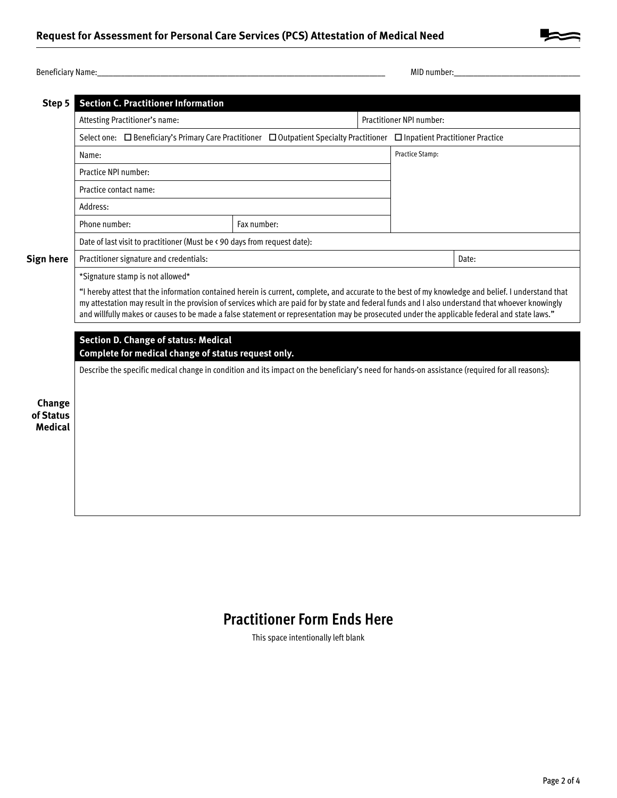

| Name:<br>Benefi<br>auldi ' | 10 <sup>2</sup><br>numbe<br><b>MID</b> |
|----------------------------|----------------------------------------|
|----------------------------|----------------------------------------|

| Step 5                                | <b>Section C. Practitioner Information</b>                                                                                                                                                                                                                                                                                                                                                                                                               |             |                          |  |  |  |  |  |  |  |
|---------------------------------------|----------------------------------------------------------------------------------------------------------------------------------------------------------------------------------------------------------------------------------------------------------------------------------------------------------------------------------------------------------------------------------------------------------------------------------------------------------|-------------|--------------------------|--|--|--|--|--|--|--|
|                                       | Attesting Practitioner's name:                                                                                                                                                                                                                                                                                                                                                                                                                           |             | Practitioner NPI number: |  |  |  |  |  |  |  |
|                                       | Select one: □ Beneficiary's Primary Care Practitioner □ Outpatient Specialty Practitioner □ Inpatient Practitioner Practice                                                                                                                                                                                                                                                                                                                              |             |                          |  |  |  |  |  |  |  |
|                                       | Name:                                                                                                                                                                                                                                                                                                                                                                                                                                                    |             | Practice Stamp:          |  |  |  |  |  |  |  |
|                                       | Practice NPI number:                                                                                                                                                                                                                                                                                                                                                                                                                                     |             |                          |  |  |  |  |  |  |  |
|                                       | Practice contact name:                                                                                                                                                                                                                                                                                                                                                                                                                                   |             |                          |  |  |  |  |  |  |  |
|                                       | Address:                                                                                                                                                                                                                                                                                                                                                                                                                                                 |             |                          |  |  |  |  |  |  |  |
|                                       | Phone number:                                                                                                                                                                                                                                                                                                                                                                                                                                            | Fax number: |                          |  |  |  |  |  |  |  |
|                                       | Date of last visit to practitioner (Must be < 90 days from request date):                                                                                                                                                                                                                                                                                                                                                                                |             |                          |  |  |  |  |  |  |  |
| Sign here                             | Practitioner signature and credentials:                                                                                                                                                                                                                                                                                                                                                                                                                  |             | Date:                    |  |  |  |  |  |  |  |
|                                       | *Signature stamp is not allowed*                                                                                                                                                                                                                                                                                                                                                                                                                         |             |                          |  |  |  |  |  |  |  |
|                                       | "I hereby attest that the information contained herein is current, complete, and accurate to the best of my knowledge and belief. I understand that<br>my attestation may result in the provision of services which are paid for by state and federal funds and I also understand that whoever knowingly<br>and willfully makes or causes to be made a false statement or representation may be prosecuted under the applicable federal and state laws." |             |                          |  |  |  |  |  |  |  |
| Change<br>of Status<br><b>Medical</b> | <b>Section D. Change of status: Medical</b><br>Complete for medical change of status request only.<br>Describe the specific medical change in condition and its impact on the beneficiary's need for hands-on assistance (required for all reasons):                                                                                                                                                                                                     |             |                          |  |  |  |  |  |  |  |

## **Practitioner Form Ends Here**

This space intentionally left blank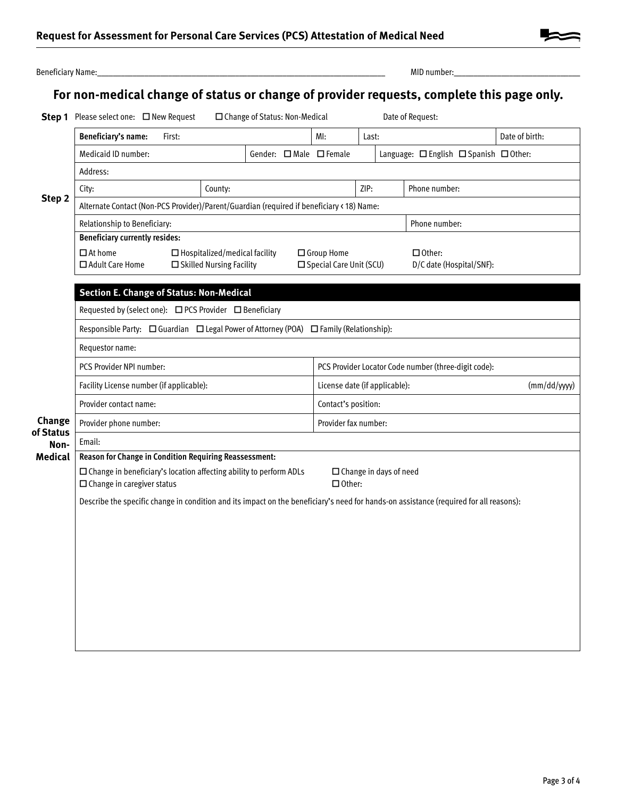| Beneficiary Name:   |                                                                                                                                        |                                                 |                                      |                                 |      |                                                      |                                                |  | MID number:                                                                               |                |  |  |
|---------------------|----------------------------------------------------------------------------------------------------------------------------------------|-------------------------------------------------|--------------------------------------|---------------------------------|------|------------------------------------------------------|------------------------------------------------|--|-------------------------------------------------------------------------------------------|----------------|--|--|
|                     |                                                                                                                                        |                                                 |                                      |                                 |      |                                                      |                                                |  | For non-medical change of status or change of provider requests, complete this page only. |                |  |  |
|                     | Step 1 Please select one: □ New Request                                                                                                |                                                 |                                      | □ Change of Status: Non-Medical |      |                                                      |                                                |  | Date of Request:                                                                          |                |  |  |
|                     | Beneficiary's name:                                                                                                                    | First:                                          |                                      |                                 |      | MI:                                                  | Last:                                          |  |                                                                                           | Date of birth: |  |  |
|                     | Medicaid ID number:<br>Gender: $\Box$ Male $\Box$ Female                                                                               |                                                 |                                      |                                 |      |                                                      |                                                |  | Language: $\Box$ English $\Box$ Spanish $\Box$ Other:                                     |                |  |  |
|                     | Address:                                                                                                                               |                                                 |                                      |                                 |      |                                                      |                                                |  |                                                                                           |                |  |  |
| Step 2              | City:                                                                                                                                  |                                                 | County:                              |                                 | ZIP: |                                                      |                                                |  | Phone number:                                                                             |                |  |  |
|                     | Alternate Contact (Non-PCS Provider)/Parent/Guardian (required if beneficiary < 18) Name:                                              |                                                 |                                      |                                 |      |                                                      |                                                |  |                                                                                           |                |  |  |
|                     | Relationship to Beneficiary:                                                                                                           |                                                 |                                      |                                 |      | Phone number:                                        |                                                |  |                                                                                           |                |  |  |
|                     | <b>Beneficiary currently resides:</b>                                                                                                  |                                                 |                                      |                                 |      |                                                      |                                                |  |                                                                                           |                |  |  |
|                     | $\Box$ At home                                                                                                                         |                                                 | $\Box$ Hospitalized/medical facility |                                 |      | □ Group Home<br>$\Box$ Other:                        |                                                |  |                                                                                           |                |  |  |
|                     | □ Adult Care Home                                                                                                                      |                                                 | □ Skilled Nursing Facility           |                                 |      | □ Special Care Unit (SCU)                            |                                                |  | D/C date (Hospital/SNF):                                                                  |                |  |  |
|                     |                                                                                                                                        | <b>Section E. Change of Status: Non-Medical</b> |                                      |                                 |      |                                                      |                                                |  |                                                                                           |                |  |  |
|                     | Requested by (select one): $\Box$ PCS Provider $\Box$ Beneficiary                                                                      |                                                 |                                      |                                 |      |                                                      |                                                |  |                                                                                           |                |  |  |
|                     | Responsible Party: $\Box$ Guardian $\Box$ Legal Power of Attorney (POA) $\Box$ Family (Relationship):                                  |                                                 |                                      |                                 |      |                                                      |                                                |  |                                                                                           |                |  |  |
|                     | Requestor name:                                                                                                                        |                                                 |                                      |                                 |      |                                                      |                                                |  |                                                                                           |                |  |  |
|                     | PCS Provider NPI number:                                                                                                               |                                                 |                                      |                                 |      | PCS Provider Locator Code number (three-digit code): |                                                |  |                                                                                           |                |  |  |
|                     | Facility License number (if applicable):                                                                                               |                                                 |                                      |                                 |      | License date (if applicable):                        |                                                |  |                                                                                           | (mm/dd/yyy)    |  |  |
|                     | Provider contact name:                                                                                                                 |                                                 |                                      |                                 |      | Contact's position:                                  |                                                |  |                                                                                           |                |  |  |
| Change<br>of Status | Provider phone number:                                                                                                                 |                                                 |                                      |                                 |      | Provider fax number:                                 |                                                |  |                                                                                           |                |  |  |
| Non-                | Email:                                                                                                                                 |                                                 |                                      |                                 |      |                                                      |                                                |  |                                                                                           |                |  |  |
| <b>Medical</b>      | Reason for Change in Condition Requiring Reassessment:                                                                                 |                                                 |                                      |                                 |      |                                                      |                                                |  |                                                                                           |                |  |  |
|                     | $\square$ Change in beneficiary's location affecting ability to perform ADLs<br>$\Box$ Change in caregiver status                      |                                                 |                                      |                                 |      |                                                      | $\Box$ Change in days of need<br>$\Box$ Other: |  |                                                                                           |                |  |  |
|                     | Describe the specific change in condition and its impact on the beneficiary's need for hands-on assistance (required for all reasons): |                                                 |                                      |                                 |      |                                                      |                                                |  |                                                                                           |                |  |  |
|                     |                                                                                                                                        |                                                 |                                      |                                 |      |                                                      |                                                |  |                                                                                           |                |  |  |
|                     |                                                                                                                                        |                                                 |                                      |                                 |      |                                                      |                                                |  |                                                                                           |                |  |  |
|                     |                                                                                                                                        |                                                 |                                      |                                 |      |                                                      |                                                |  |                                                                                           |                |  |  |
|                     |                                                                                                                                        |                                                 |                                      |                                 |      |                                                      |                                                |  |                                                                                           |                |  |  |
|                     |                                                                                                                                        |                                                 |                                      |                                 |      |                                                      |                                                |  |                                                                                           |                |  |  |
|                     |                                                                                                                                        |                                                 |                                      |                                 |      |                                                      |                                                |  |                                                                                           |                |  |  |
|                     |                                                                                                                                        |                                                 |                                      |                                 |      |                                                      |                                                |  |                                                                                           |                |  |  |
|                     |                                                                                                                                        |                                                 |                                      |                                 |      |                                                      |                                                |  |                                                                                           |                |  |  |
|                     |                                                                                                                                        |                                                 |                                      |                                 |      |                                                      |                                                |  |                                                                                           |                |  |  |